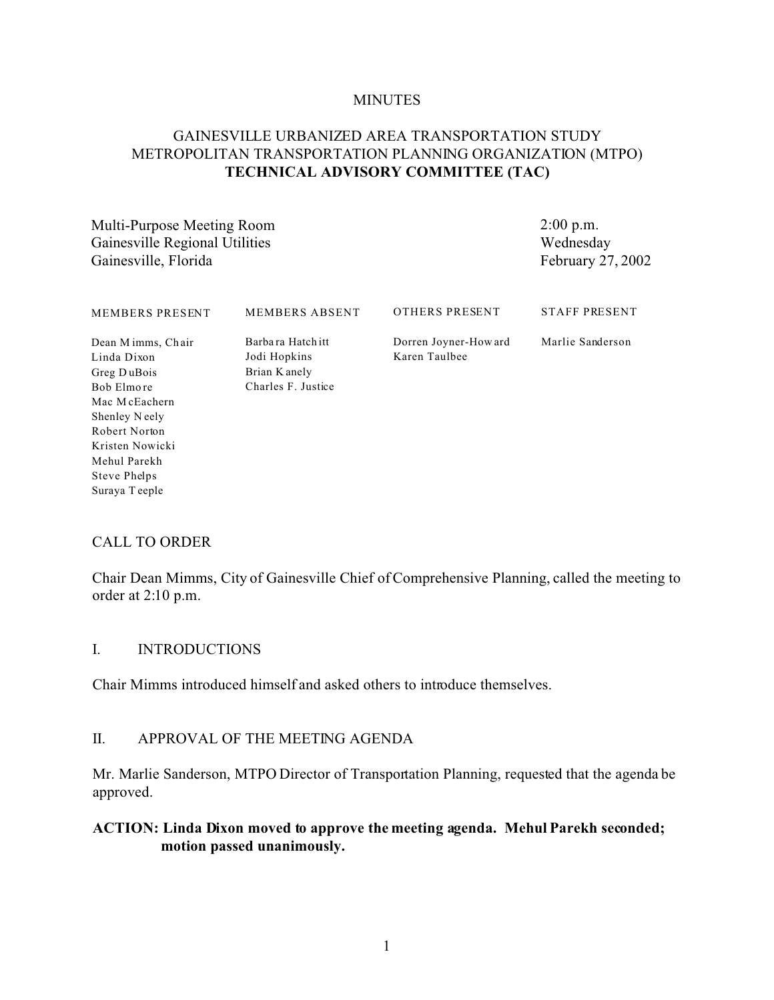#### **MINUTES**

## GAINESVILLE URBANIZED AREA TRANSPORTATION STUDY METROPOLITAN TRANSPORTATION PLANNING ORGANIZATION (MTPO) **TECHNICAL ADVISORY COMMITTEE (TAC)**

Multi-Purpose Meeting Room Gainesville Regional Utilities Gainesville, Florida

2:00 p.m. Wednesday February 27, 2002

| MEMBERS PRESENT                                                                 | <b>MEMBERS ABSENT</b>                                                    | OTHERS PRESENT                         | <b>STAFF PRESENT</b> |
|---------------------------------------------------------------------------------|--------------------------------------------------------------------------|----------------------------------------|----------------------|
| Dean M imms, Chair<br>Linda Dixon<br>Greg DuBois<br>Bob Elmore<br>Mac McEachern | Barbara Hatch itt<br>Jodi Hopkins<br>Brian K anely<br>Charles F. Justice | Dorren Joyner-How ard<br>Karen Taulbee | Marlie Sanderson     |
| Shenley Neely                                                                   |                                                                          |                                        |                      |
| Robert Norton                                                                   |                                                                          |                                        |                      |
| Kristen Nowicki                                                                 |                                                                          |                                        |                      |
| Mehul Parekh                                                                    |                                                                          |                                        |                      |
| Steve Phelps                                                                    |                                                                          |                                        |                      |

## CALL TO ORDER

Suraya T eeple

Chair Dean Mimms, City of Gainesville Chief of Comprehensive Planning, called the meeting to order at 2:10 p.m.

#### I. INTRODUCTIONS

Chair Mimms introduced himself and asked others to introduce themselves.

## II. APPROVAL OF THE MEETING AGENDA

Mr. Marlie Sanderson, MTPO Director of Transportation Planning, requested that the agenda be approved.

### **ACTION: Linda Dixon moved to approve the meeting agenda. Mehul Parekh seconded; motion passed unanimously.**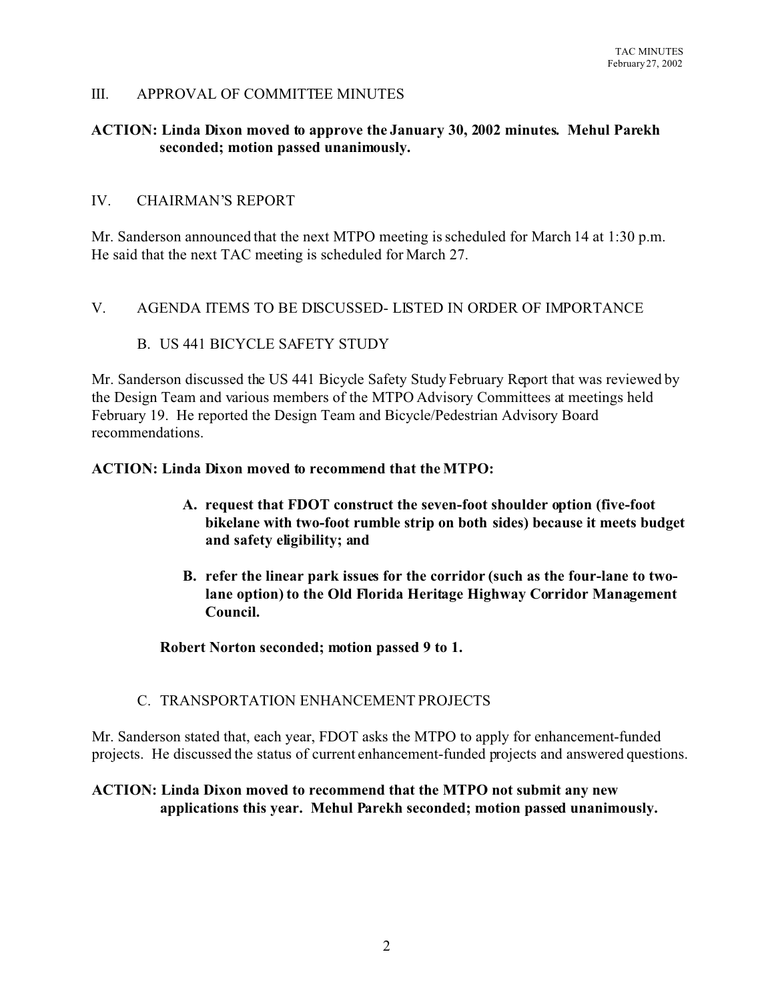## III. APPROVAL OF COMMITTEE MINUTES

## **ACTION: Linda Dixon moved to approve the January 30, 2002 minutes. Mehul Parekh seconded; motion passed unanimously.**

### IV. CHAIRMAN'S REPORT

Mr. Sanderson announced that the next MTPO meeting is scheduled for March 14 at 1:30 p.m. He said that the next TAC meeting is scheduled for March 27.

### V. AGENDA ITEMS TO BE DISCUSSED- LISTED IN ORDER OF IMPORTANCE

### B. US 441 BICYCLE SAFETY STUDY

Mr. Sanderson discussed the US 441 Bicycle Safety Study February Report that was reviewed by the Design Team and various members of the MTPO Advisory Committees at meetings held February 19. He reported the Design Team and Bicycle/Pedestrian Advisory Board recommendations.

#### **ACTION: Linda Dixon moved to recommend that the MTPO:**

- **A. request that FDOT construct the seven-foot shoulder option (five-foot bikelane with two-foot rumble strip on both sides) because it meets budget and safety eligibility; and**
- **B. refer the linear park issues for the corridor (such as the four-lane to twolane option) to the Old Florida Heritage Highway Corridor Management Council.**

**Robert Norton seconded; motion passed 9 to 1.**

### C. TRANSPORTATION ENHANCEMENT PROJECTS

Mr. Sanderson stated that, each year, FDOT asks the MTPO to apply for enhancement-funded projects. He discussed the status of current enhancement-funded projects and answered questions.

## **ACTION: Linda Dixon moved to recommend that the MTPO not submit any new applications this year. Mehul Parekh seconded; motion passed unanimously.**